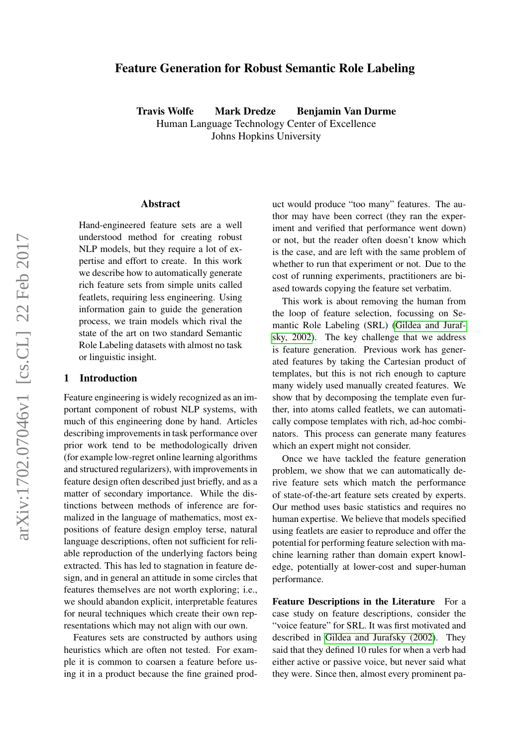# <span id="page-0-0"></span>Feature Generation for Robust Semantic Role Labeling

Travis Wolfe Mark Dredze Benjamin Van Durme Human Language Technology Center of Excellence Johns Hopkins University

#### Abstract

Hand-engineered feature sets are a well understood method for creating robust NLP models, but they require a lot of expertise and effort to create. In this work we describe how to automatically generate rich feature sets from simple units called featlets, requiring less engineering. Using information gain to guide the generation process, we train models which rival the state of the art on two standard Semantic Role Labeling datasets with almost no task or linguistic insight.

#### 1 Introduction

Feature engineering is widely recognized as an important component of robust NLP systems, with much of this engineering done by hand. Articles describing improvements in task performance over prior work tend to be methodologically driven (for example low-regret online learning algorithms and structured regularizers), with improvements in feature design often described just briefly, and as a matter of secondary importance. While the distinctions between methods of inference are formalized in the language of mathematics, most expositions of feature design employ terse, natural language descriptions, often not sufficient for reliable reproduction of the underlying factors being extracted. This has led to stagnation in feature design, and in general an attitude in some circles that features themselves are not worth exploring; i.e., we should abandon explicit, interpretable features for neural techniques which create their own representations which may not align with our own.

Features sets are constructed by authors using heuristics which are often not tested. For example it is common to coarsen a feature before using it in a product because the fine grained product would produce "too many" features. The author may have been correct (they ran the experiment and verified that performance went down) or not, but the reader often doesn't know which is the case, and are left with the same problem of whether to run that experiment or not. Due to the cost of running experiments, practitioners are biased towards copying the feature set verbatim.

This work is about removing the human from the loop of feature selection, focussing on Semantic Role Labeling (SRL) [\(Gildea and Juraf](#page-8-0)[sky, 2002\)](#page-8-0). The key challenge that we address is feature generation. Previous work has generated features by taking the Cartesian product of templates, but this is not rich enough to capture many widely used manually created features. We show that by decomposing the template even further, into atoms called featlets, we can automatically compose templates with rich, ad-hoc combinators. This process can generate many features which an expert might not consider.

Once we have tackled the feature generation problem, we show that we can automatically derive feature sets which match the performance of state-of-the-art feature sets created by experts. Our method uses basic statistics and requires no human expertise. We believe that models specified using featlets are easier to reproduce and offer the potential for performing feature selection with machine learning rather than domain expert knowledge, potentially at lower-cost and super-human performance.

Feature Descriptions in the Literature For a case study on feature descriptions, consider the "voice feature" for SRL. It was first motivated and described in [Gildea and Jurafsky \(2002\)](#page-8-0). They said that they defined 10 rules for when a verb had either active or passive voice, but never said what they were. Since then, almost every prominent pa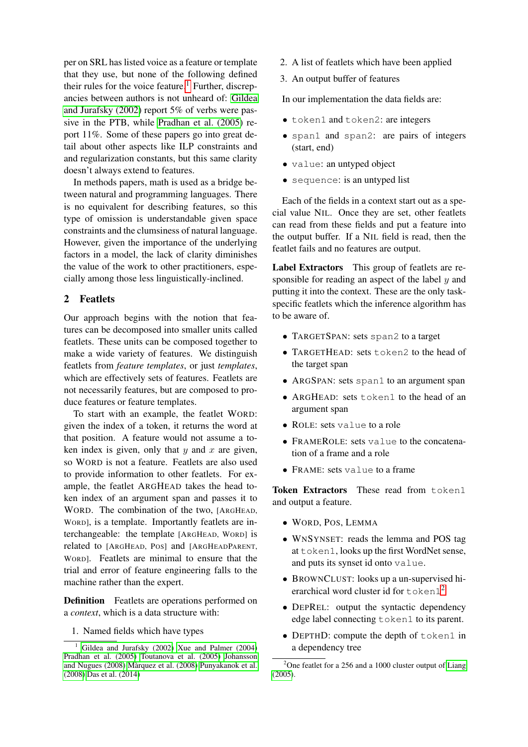per on SRL has listed voice as a feature or template that they use, but none of the following defined their rules for the voice feature.<sup>[1](#page-1-0)</sup> Further, discrepancies between authors is not unheard of: [Gildea](#page-8-0) [and Jurafsky \(2002\)](#page-8-0) report 5% of verbs were passive in the PTB, while [Pradhan et al. \(2005\)](#page-9-0) report 11%. Some of these papers go into great detail about other aspects like ILP constraints and and regularization constants, but this same clarity doesn't always extend to features.

In methods papers, math is used as a bridge between natural and programming languages. There is no equivalent for describing features, so this type of omission is understandable given space constraints and the clumsiness of natural language. However, given the importance of the underlying factors in a model, the lack of clarity diminishes the value of the work to other practitioners, especially among those less linguistically-inclined.

# 2 Featlets

Our approach begins with the notion that features can be decomposed into smaller units called featlets. These units can be composed together to make a wide variety of features. We distinguish featlets from *feature templates*, or just *templates*, which are effectively sets of features. Featlets are not necessarily features, but are composed to produce features or feature templates.

To start with an example, the featlet WORD: given the index of a token, it returns the word at that position. A feature would not assume a token index is given, only that  $y$  and  $x$  are given, so WORD is not a feature. Featlets are also used to provide information to other featlets. For example, the featlet ARGHEAD takes the head token index of an argument span and passes it to WORD. The combination of the two, [ARGHEAD, WORD], is a template. Importantly featlets are interchangeable: the template [ARGHEAD, WORD] is related to [ARGHEAD, POS] and [ARGHEADPARENT, WORD]. Featlets are minimal to ensure that the trial and error of feature engineering falls to the machine rather than the expert.

<span id="page-1-2"></span>Definition Featlets are operations performed on a *context*, which is a data structure with:

1. Named fields which have types

- 2. A list of featlets which have been applied
- 3. An output buffer of features

In our implementation the data fields are:

- token1 and token2: are integers
- span1 and span2: are pairs of integers (start, end)
- value: an untyped object
- sequence: is an untyped list

Each of the fields in a context start out as a special value NIL. Once they are set, other featlets can read from these fields and put a feature into the output buffer. If a NIL field is read, then the featlet fails and no features are output.

Label Extractors This group of featlets are responsible for reading an aspect of the label y and putting it into the context. These are the only taskspecific featlets which the inference algorithm has to be aware of.

- TARGETSPAN: sets span2 to a target
- TARGETHEAD: sets token2 to the head of the target span
- ARGSPAN: sets span1 to an argument span
- ARGHEAD: sets token1 to the head of an argument span
- ROLE: sets value to a role
- FRAMEROLE: sets value to the concatenation of a frame and a role
- FRAME: sets value to a frame

Token Extractors These read from token1 and output a feature.

- WORD, POS, LEMMA
- WNSYNSET: reads the lemma and POS tag at token1, looks up the first WordNet sense, and puts its synset id onto value.
- BROWNCLUST: looks up a un-supervised hierarchical word cluster id for  $\text{token1}^2$  $\text{token1}^2$
- DEPREL: output the syntactic dependency edge label connecting token1 to its parent.
- DEPTHD: compute the depth of token1 in a dependency tree

<span id="page-1-0"></span><sup>&</sup>lt;sup>1</sup> [Gildea and Jurafsky \(2002\)](#page-8-0) [Xue and Palmer \(2004\)](#page-9-1) [Pradhan et al. \(2005\)](#page-9-0) [Toutanova et al. \(2005\)](#page-9-2) [Johansson](#page-8-1) [and Nugues \(2008\)](#page-8-1) Màrquez et al. (2008) [Punyakanok et al.](#page-9-3) [\(2008\)](#page-9-3) [Das et al. \(2014\)](#page-8-3)

<span id="page-1-1"></span> $2^2$ One featlet for a 256 and a 1000 cluster output of [Liang](#page-8-4) [\(2005\)](#page-8-4).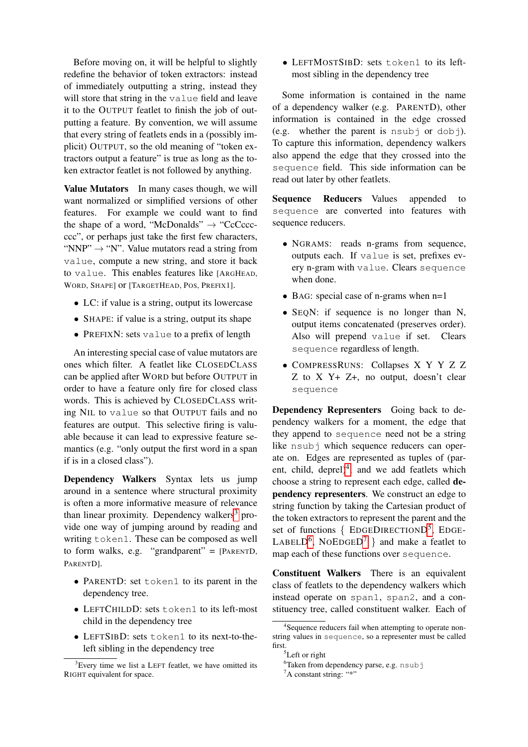Before moving on, it will be helpful to slightly redefine the behavior of token extractors: instead of immediately outputting a string, instead they will store that string in the value field and leave it to the OUTPUT featlet to finish the job of outputting a feature. By convention, we will assume that every string of featlets ends in a (possibly implicit) OUTPUT, so the old meaning of "token extractors output a feature" is true as long as the token extractor featlet is not followed by anything.

Value Mutators In many cases though, we will want normalized or simplified versions of other features. For example we could want to find the shape of a word, "McDonalds"  $\rightarrow$  "CcCcccccc", or perhaps just take the first few characters, "NNP"  $\rightarrow$  "N". Value mutators read a string from value, compute a new string, and store it back to value. This enables features like [ARGHEAD, WORD, SHAPE] or [TARGETHEAD, POS, PREFIX1].

- LC: if value is a string, output its lowercase
- SHAPE: if value is a string, output its shape
- PREFIXN: sets value to a prefix of length

An interesting special case of value mutators are ones which filter. A featlet like CLOSEDCLASS can be applied after WORD but before OUTPUT in order to have a feature only fire for closed class words. This is achieved by CLOSEDCLASS writing NIL to value so that OUTPUT fails and no features are output. This selective firing is valuable because it can lead to expressive feature semantics (e.g. "only output the first word in a span if is in a closed class").

Dependency Walkers Syntax lets us jump around in a sentence where structural proximity is often a more informative measure of relevance than linear proximity. Dependency walkers<sup>[3](#page-2-0)</sup> provide one way of jumping around by reading and writing token1. These can be composed as well to form walks, e.g. "grandparent" =  $[PARENTD,$ PARENTD].

- PARENTD: set token1 to its parent in the dependency tree.
- LEFTCHILDD: sets token1 to its left-most child in the dependency tree
- LEFTSIBD: sets token1 to its next-to-theleft sibling in the dependency tree

• LEFTMOSTSIBD: sets token1 to its leftmost sibling in the dependency tree

Some information is contained in the name of a dependency walker (e.g. PARENTD), other information is contained in the edge crossed (e.g. whether the parent is  $nsub$  or dobj). To capture this information, dependency walkers also append the edge that they crossed into the sequence field. This side information can be read out later by other featlets.

Sequence Reducers Values appended to sequence are converted into features with sequence reducers.

- NGRAMS: reads n-grams from sequence, outputs each. If value is set, prefixes every n-gram with value. Clears sequence when done.
- BAG: special case of n-grams when  $n=1$
- SEQN: if sequence is no longer than N, output items concatenated (preserves order). Also will prepend value if set. Clears sequence regardless of length.
- COMPRESSRUNS: Collapses X Y Y Z Z Z to X Y+ Z+, no output, doesn't clear sequence

Dependency Representers Going back to dependency walkers for a moment, the edge that they append to sequence need not be a string like nsubj which sequence reducers can operate on. Edges are represented as tuples of (par-ent, child, deprel)<sup>[4](#page-2-1)</sup>, and we add featlets which choose a string to represent each edge, called dependency representers. We construct an edge to string function by taking the Cartesian product of the token extractors to represent the parent and the set of functions { EDGEDIRECTIOND<sup>[5](#page-2-2)</sup>, EDGE-LABELD<sup>[6](#page-2-3)</sup>, NOEDGED<sup>[7](#page-2-4)</sup> } and make a featlet to map each of these functions over sequence.

Constituent Walkers There is an equivalent class of featlets to the dependency walkers which instead operate on span1, span2, and a constituency tree, called constituent walker. Each of

<span id="page-2-0"></span> ${}^{3}$ Every time we list a LEFT featlet, we have omitted its RIGHT equivalent for space.

<span id="page-2-1"></span><sup>4</sup> Sequence reducers fail when attempting to operate nonstring values in sequence, so a representer must be called first.

<span id="page-2-2"></span> ${}^{5}$ Left or right

<span id="page-2-3"></span><sup>6</sup>Taken from dependency parse, e.g. nsubj

<span id="page-2-4"></span> ${}^{7}$ A constant string: "\*"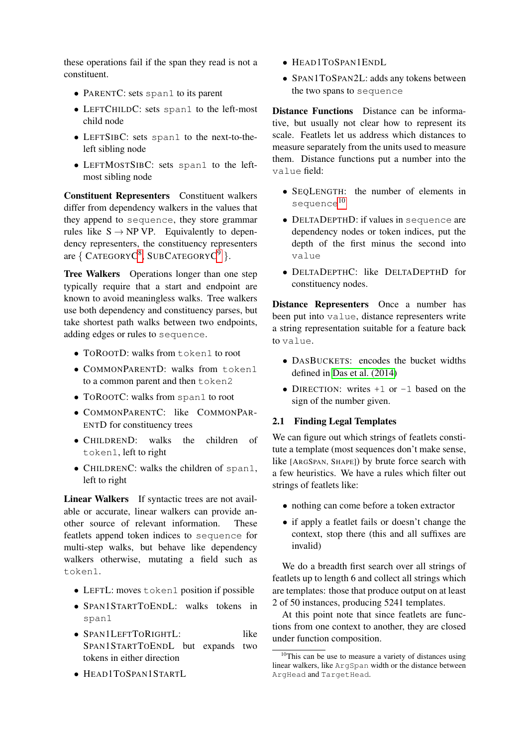these operations fail if the span they read is not a constituent.

- PARENTC: sets span1 to its parent
- LEFTCHILDC: sets span1 to the left-most child node
- LEFTSIBC: sets span1 to the next-to-theleft sibling node
- LEFTMOSTSIBC: sets span1 to the leftmost sibling node

Constituent Representers Constituent walkers differ from dependency walkers in the values that they append to sequence, they store grammar rules like  $S \rightarrow NP VP$ . Equivalently to dependency representers, the constituency representers are  $\{$  CATEGORYC<sup>[8](#page-0-0)</sup>, SUBCATEGORYC<sup>[9](#page-0-0)</sup>  $\}.$ 

Tree Walkers Operations longer than one step typically require that a start and endpoint are known to avoid meaningless walks. Tree walkers use both dependency and constituency parses, but take shortest path walks between two endpoints, adding edges or rules to sequence.

- TOROOTD: walks from token1 to root
- COMMONPARENTD: walks from token1 to a common parent and then token2
- TOROOTC: walks from span1 to root
- COMMONPARENTC: like COMMONPAR-ENTD for constituency trees
- CHILDREND: walks the children of token1, left to right
- CHILDRENC: walks the children of span1, left to right

Linear Walkers If syntactic trees are not available or accurate, linear walkers can provide another source of relevant information. These featlets append token indices to sequence for multi-step walks, but behave like dependency walkers otherwise, mutating a field such as token1.

- LEFTL: moves token1 position if possible
- SPAN1STARTTOENDL: walks tokens in span1
- SPAN1LEFTTORIGHTL: like SPAN1STARTTOENDL but expands two tokens in either direction
- HEAD1TOSPAN1STARTL
- HEAD1TOSPAN1ENDL
- SPAN1TOSPAN2L: adds any tokens between the two spans to sequence

Distance Functions Distance can be informative, but usually not clear how to represent its scale. Featlets let us address which distances to measure separately from the units used to measure them. Distance functions put a number into the value field:

- SEOLENGTH: the number of elements in sequence<sup>[10](#page-3-0)</sup>
- DELTADEPTHD: if values in sequence are dependency nodes or token indices, put the depth of the first minus the second into value
- DELTADEPTHC: like DELTADEPTHD for constituency nodes.

Distance Representers Once a number has been put into value, distance representers write a string representation suitable for a feature back to value.

- DASBUCKETS: encodes the bucket widths defined in [Das et al. \(2014\)](#page-8-3)
- DIRECTION: writes  $+1$  or  $-1$  based on the sign of the number given.

# 2.1 Finding Legal Templates

We can figure out which strings of featlets constitute a template (most sequences don't make sense, like [ARGSPAN, SHAPE]) by brute force search with a few heuristics. We have a rules which filter out strings of featlets like:

- nothing can come before a token extractor
- if apply a featlet fails or doesn't change the context, stop there (this and all suffixes are invalid)

We do a breadth first search over all strings of featlets up to length 6 and collect all strings which are templates: those that produce output on at least 2 of 50 instances, producing 5241 templates.

At this point note that since featlets are functions from one context to another, they are closed under function composition.

<span id="page-3-0"></span><sup>&</sup>lt;sup>10</sup>This can be use to measure a variety of distances using linear walkers, like ArgSpan width or the distance between ArgHead and TargetHead.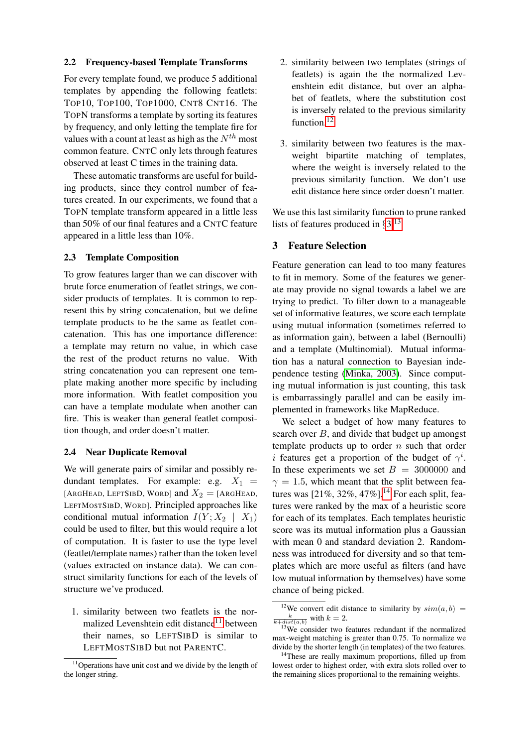### 2.2 Frequency-based Template Transforms

For every template found, we produce 5 additional templates by appending the following featlets: TOP10, TOP100, TOP1000, CNT8 CNT16. The TOPN transforms a template by sorting its features by frequency, and only letting the template fire for values with a count at least as high as the  $N^{th}$  most common feature. CNTC only lets through features observed at least C times in the training data.

These automatic transforms are useful for building products, since they control number of features created. In our experiments, we found that a TOPN template transform appeared in a little less than 50% of our final features and a CNTC feature appeared in a little less than 10%.

### 2.3 Template Composition

To grow features larger than we can discover with brute force enumeration of featlet strings, we consider products of templates. It is common to represent this by string concatenation, but we define template products to be the same as featlet concatenation. This has one importance difference: a template may return no value, in which case the rest of the product returns no value. With string concatenation you can represent one template making another more specific by including more information. With featlet composition you can have a template modulate when another can fire. This is weaker than general featlet composition though, and order doesn't matter.

## <span id="page-4-5"></span>2.4 Near Duplicate Removal

We will generate pairs of similar and possibly redundant templates. For example: e.g.  $X_1$  = [ARGHEAD, LEFTSIBD, WORD] and  $X_2 =$  [ARGHEAD, LEFTMOSTSIBD, WORD]. Principled approaches like conditional mutual information  $I(Y; X_2 | X_1)$ could be used to filter, but this would require a lot of computation. It is faster to use the type level (featlet/template names) rather than the token level (values extracted on instance data). We can construct similarity functions for each of the levels of structure we've produced.

1. similarity between two featlets is the nor-malized Levenshtein edit distance<sup>[11](#page-4-0)</sup> between their names, so LEFTSIBD is similar to LEFTMOSTSIBD but not PARENTC.

- 2. similarity between two templates (strings of featlets) is again the the normalized Levenshtein edit distance, but over an alphabet of featlets, where the substitution cost is inversely related to the previous similarity function.<sup>[12](#page-4-1)</sup>
- 3. similarity between two features is the maxweight bipartite matching of templates, where the weight is inversely related to the previous similarity function. We don't use edit distance here since order doesn't matter.

We use this last similarity function to prune ranked lists of features produced in  $\S 3$ .<sup>[13](#page-4-3)</sup>

# <span id="page-4-2"></span>3 Feature Selection

Feature generation can lead to too many features to fit in memory. Some of the features we generate may provide no signal towards a label we are trying to predict. To filter down to a manageable set of informative features, we score each template using mutual information (sometimes referred to as information gain), between a label (Bernoulli) and a template (Multinomial). Mutual information has a natural connection to Bayesian independence testing [\(Minka, 2003\)](#page-9-4). Since computing mutual information is just counting, this task is embarrassingly parallel and can be easily implemented in frameworks like MapReduce.

We select a budget of how many features to search over  $B$ , and divide that budget up amongst template products up to order  $n$  such that order *i* features get a proportion of the budget of  $\gamma^i$ . In these experiments we set  $B = 3000000$  and  $\gamma = 1.5$ , which meant that the split between features was  $[21\%, 32\%, 47\%]$ .<sup>[14](#page-4-4)</sup> For each split, features were ranked by the max of a heuristic score for each of its templates. Each templates heuristic score was its mutual information plus a Gaussian with mean 0 and standard deviation 2. Randomness was introduced for diversity and so that templates which are more useful as filters (and have low mutual information by themselves) have some chance of being picked.

<span id="page-4-0"></span><sup>&</sup>lt;sup>11</sup>Operations have unit cost and we divide by the length of the longer string.

<span id="page-4-1"></span><sup>&</sup>lt;sup>12</sup>We convert edit distance to similarity by  $sim(a, b)$  =  $\frac{k}{k+dist(a,b)}$  with  $k=2$ .

<span id="page-4-3"></span><sup>&</sup>lt;sup>13</sup>We consider two features redundant if the normalized max-weight matching is greater than 0.75. To normalize we divide by the shorter length (in templates) of the two features.

<span id="page-4-4"></span><sup>&</sup>lt;sup>14</sup>These are really maximum proportions, filled up from lowest order to highest order, with extra slots rolled over to the remaining slices proportional to the remaining weights.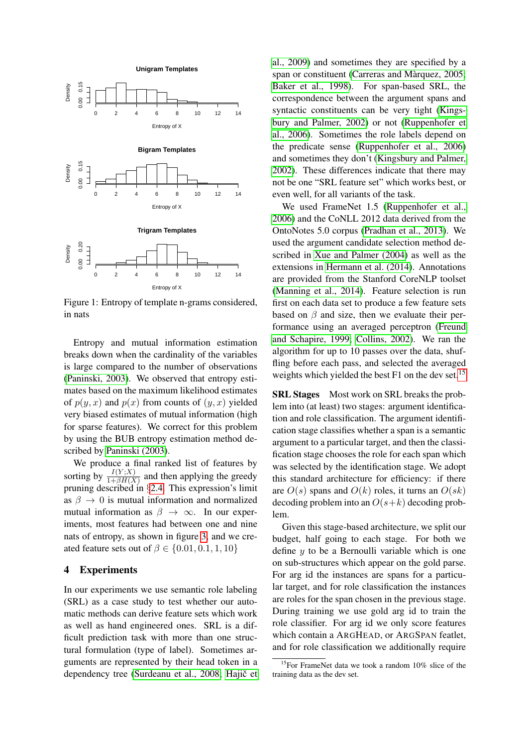

Figure 1: Entropy of template n-grams considered, in nats

Entropy and mutual information estimation breaks down when the cardinality of the variables is large compared to the number of observations [\(Paninski, 2003\)](#page-9-5). We observed that entropy estimates based on the maximum likelihood estimates of  $p(y, x)$  and  $p(x)$  from counts of  $(y, x)$  yielded very biased estimates of mutual information (high for sparse features). We correct for this problem by using the BUB entropy estimation method described by [Paninski \(2003\)](#page-9-5).

We produce a final ranked list of features by sorting by  $\frac{I(Y;X)}{1+\beta H(X)}$  and then applying the greedy pruning described in §[2.4.](#page-4-5) This expression's limit as  $\beta \rightarrow 0$  is mutual information and normalized mutual information as  $\beta \rightarrow \infty$ . In our experiments, most features had between one and nine nats of entropy, as shown in figure [3,](#page-4-2) and we created feature sets out of  $\beta \in \{0.01, 0.1, 1, 10\}$ 

#### 4 Experiments

In our experiments we use semantic role labeling (SRL) as a case study to test whether our automatic methods can derive feature sets which work as well as hand engineered ones. SRL is a difficult prediction task with more than one structural formulation (type of label). Sometimes arguments are represented by their head token in a dependency tree [\(Surdeanu et al., 2008;](#page-9-6) Hajič et [al., 2009\)](#page-8-5) and sometimes they are specified by a span or constituent (Carreras and Màrquez, 2005; [Baker et al., 1998\)](#page-7-0). For span-based SRL, the correspondence between the argument spans and syntactic constituents can be very tight [\(Kings](#page-8-7)[bury and Palmer, 2002\)](#page-8-7) or not [\(Ruppenhofer et](#page-9-7) [al., 2006\)](#page-9-7). Sometimes the role labels depend on the predicate sense [\(Ruppenhofer et al., 2006\)](#page-9-7) and sometimes they don't [\(Kingsbury and Palmer,](#page-8-7) [2002\)](#page-8-7). These differences indicate that there may not be one "SRL feature set" which works best, or even well, for all variants of the task.

We used FrameNet 1.5 [\(Ruppenhofer et al.,](#page-9-7) [2006\)](#page-9-7) and the CoNLL 2012 data derived from the OntoNotes 5.0 corpus [\(Pradhan et al., 2013\)](#page-9-8). We used the argument candidate selection method described in [Xue and Palmer \(2004\)](#page-9-1) as well as the extensions in [Hermann et al. \(2014\)](#page-8-8). Annotations are provided from the Stanford CoreNLP toolset [\(Manning et al., 2014\)](#page-8-9). Feature selection is run first on each data set to produce a few feature sets based on  $\beta$  and size, then we evaluate their performance using an averaged perceptron [\(Freund](#page-8-10) [and Schapire, 1999;](#page-8-10) [Collins, 2002\)](#page-8-11). We ran the algorithm for up to 10 passes over the data, shuffling before each pass, and selected the averaged weights which yielded the best F1 on the dev set.<sup>[15](#page-5-0)</sup>

SRL Stages Most work on SRL breaks the problem into (at least) two stages: argument identification and role classification. The argument identification stage classifies whether a span is a semantic argument to a particular target, and then the classification stage chooses the role for each span which was selected by the identification stage. We adopt this standard architecture for efficiency: if there are  $O(s)$  spans and  $O(k)$  roles, it turns an  $O(sk)$ decoding problem into an  $O(s+k)$  decoding problem.

Given this stage-based architecture, we split our budget, half going to each stage. For both we define  $y$  to be a Bernoulli variable which is one on sub-structures which appear on the gold parse. For arg id the instances are spans for a particular target, and for role classification the instances are roles for the span chosen in the previous stage. During training we use gold arg id to train the role classifier. For arg id we only score features which contain a ARGHEAD, or ARGSPAN featlet, and for role classification we additionally require

<span id="page-5-0"></span><sup>15</sup>For FrameNet data we took a random 10% slice of the training data as the dev set.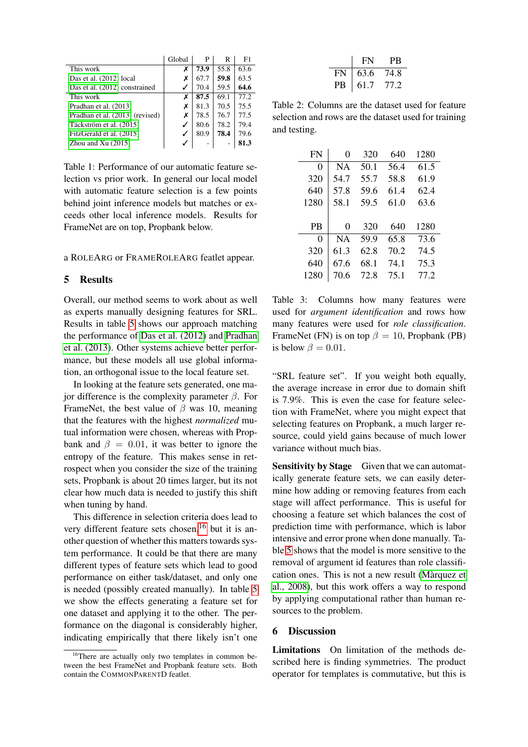|                                 | Global       | P    | R    | F1   |
|---------------------------------|--------------|------|------|------|
| This work                       | Х            | 73.9 | 55.8 | 63.6 |
| Das et al. (2012) local         | х            | 67.7 | 59.8 | 63.5 |
| Das et al. (2012) constrained   | ✓            | 70.4 | 59.5 | 64.6 |
| This work                       | х            | 87.5 | 69.1 | 77.2 |
| Pradhan et al. (2013)           | Х            | 81.3 | 70.5 | 75.5 |
| Pradhan et al. (2013) (revised) | Х            | 78.5 | 76.7 | 77.5 |
| Täckström et al. (2015)         | $\checkmark$ | 80.6 | 78.2 | 79.4 |
| FitzGerald et al. (2015)        | ✓            | 80.9 | 78.4 | 79.6 |
| Zhou and $Xu(2015)$             |              |      |      | 81.3 |

<span id="page-6-0"></span>Table 1: Performance of our automatic feature selection vs prior work. In general our local model with automatic feature selection is a few points behind joint inference models but matches or exceeds other local inference models. Results for FrameNet are on top, Propbank below.

a ROLEARG or FRAMEROLEARG featlet appear.

## 5 Results

Overall, our method seems to work about as well as experts manually designing features for SRL. Results in table [5](#page-6-0) shows our approach matching the performance of [Das et al. \(2012\)](#page-8-12) and [Pradhan](#page-9-8) [et al. \(2013\)](#page-9-8). Other systems achieve better performance, but these models all use global information, an orthogonal issue to the local feature set.

In looking at the feature sets generated, one major difference is the complexity parameter β. For FrameNet, the best value of  $\beta$  was 10, meaning that the features with the highest *normalized* mutual information were chosen, whereas with Propbank and  $\beta = 0.01$ , it was better to ignore the entropy of the feature. This makes sense in retrospect when you consider the size of the training sets, Propbank is about 20 times larger, but its not clear how much data is needed to justify this shift when tuning by hand.

This difference in selection criteria does lead to very different feature sets chosen,<sup>[16](#page-6-1)</sup> but it is another question of whether this matters towards system performance. It could be that there are many different types of feature sets which lead to good performance on either task/dataset, and only one is needed (possibly created manually). In table [5](#page-6-0) we show the effects generating a feature set for one dataset and applying it to the other. The performance on the diagonal is considerably higher, indicating empirically that there likely isn't one

|    | <b>FN</b> | PВ    |
|----|-----------|-------|
| FN | 63.6      | 74.8  |
| PВ | 61.7      | TT 2. |

Table 2: Columns are the dataset used for feature selection and rows are the dataset used for training and testing.

| <b>FN</b> | 0         | 320  | 640  | 1280 |
|-----------|-----------|------|------|------|
| 0         | <b>NA</b> | 50.1 | 56.4 | 61.5 |
| 320       | 54.7      | 55.7 | 58.8 | 61.9 |
| 640       | 57.8      | 59.6 | 61.4 | 62.4 |
| 1280      | 58.1      | 59.5 | 61.0 | 63.6 |
|           |           |      |      |      |
|           |           |      |      |      |
| <b>PB</b> | 0         | 320  | 640  | 1280 |
| 0         | <b>NA</b> | 59.9 | 65.8 | 73.6 |
| 320       | 61.3      | 62.8 | 70.2 | 74.5 |
| 640       | 67.6      | 68.1 | 74.1 | 75.3 |

Table 3: Columns how many features were used for *argument identification* and rows how many features were used for *role classification*. FrameNet (FN) is on top  $\beta = 10$ , Propbank (PB) is below  $\beta = 0.01$ .

"SRL feature set". If you weight both equally, the average increase in error due to domain shift is 7.9%. This is even the case for feature selection with FrameNet, where you might expect that selecting features on Propbank, a much larger resource, could yield gains because of much lower variance without much bias.

<span id="page-6-2"></span>Sensitivity by Stage Given that we can automatically generate feature sets, we can easily determine how adding or removing features from each stage will affect performance. This is useful for choosing a feature set which balances the cost of prediction time with performance, which is labor intensive and error prone when done manually. Table [5](#page-6-2) shows that the model is more sensitive to the removal of argument id features than role classification ones. This is not a new result [\(Marquez et](#page-8-2) ` [al., 2008\)](#page-8-2), but this work offers a way to respond by applying computational rather than human resources to the problem.

## 6 Discussion

Limitations On limitation of the methods described here is finding symmetries. The product operator for templates is commutative, but this is

<span id="page-6-1"></span><sup>&</sup>lt;sup>16</sup>There are actually only two templates in common between the best FrameNet and Propbank feature sets. Both contain the COMMONPARENTD featlet.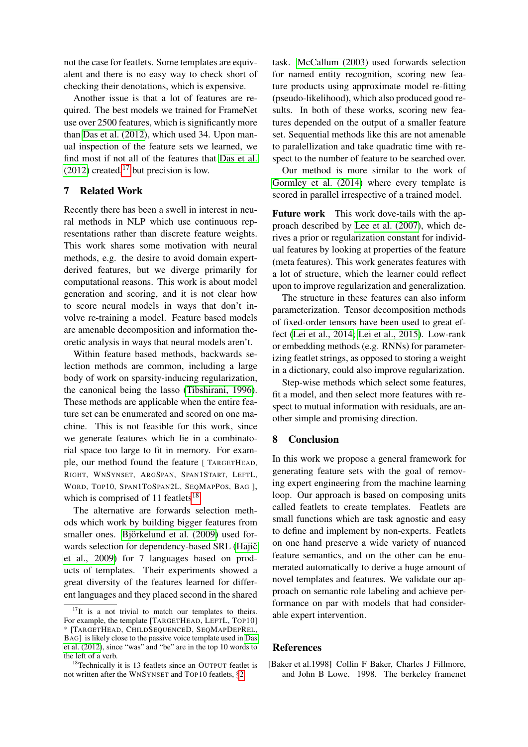not the case for featlets. Some templates are equivalent and there is no easy way to check short of checking their denotations, which is expensive.

Another issue is that a lot of features are required. The best models we trained for FrameNet use over 2500 features, which is significantly more than [Das et al. \(2012\)](#page-8-12), which used 34. Upon manual inspection of the feature sets we learned, we find most if not all of the features that [Das et al.](#page-8-12)  $(2012)$  created,<sup>[17](#page-7-1)</sup> but precision is low.

# 7 Related Work

Recently there has been a swell in interest in neural methods in NLP which use continuous representations rather than discrete feature weights. This work shares some motivation with neural methods, e.g. the desire to avoid domain expertderived features, but we diverge primarily for computational reasons. This work is about model generation and scoring, and it is not clear how to score neural models in ways that don't involve re-training a model. Feature based models are amenable decomposition and information theoretic analysis in ways that neural models aren't.

Within feature based methods, backwards selection methods are common, including a large body of work on sparsity-inducing regularization, the canonical being the lasso [\(Tibshirani, 1996\)](#page-9-11). These methods are applicable when the entire feature set can be enumerated and scored on one machine. This is not feasible for this work, since we generate features which lie in a combinatorial space too large to fit in memory. For example, our method found the feature [ TARGETHEAD, RIGHT, WNSYNSET, ARGSPAN, SPAN1START, LEFTL, WORD, TOP10, SPAN1TOSPAN2L, SEQMAPPOS, BAG ], which is comprised of 11 featlets<sup>[18](#page-7-2)</sup>.

The alternative are forwards selection methods which work by building bigger features from smaller ones. Björkelund et al. (2009) used forwards selection for dependency-based SRL (Hajič [et al., 2009\)](#page-8-5) for 7 languages based on products of templates. Their experiments showed a great diversity of the features learned for different languages and they placed second in the shared task. [McCallum \(2003\)](#page-9-12) used forwards selection for named entity recognition, scoring new feature products using approximate model re-fitting (pseudo-likelihood), which also produced good results. In both of these works, scoring new features depended on the output of a smaller feature set. Sequential methods like this are not amenable to paralellization and take quadratic time with respect to the number of feature to be searched over.

Our method is more similar to the work of [Gormley et al. \(2014\)](#page-8-15) where every template is scored in parallel irrespective of a trained model.

Future work This work dove-tails with the approach described by [Lee et al. \(2007\)](#page-8-16), which derives a prior or regularization constant for individual features by looking at properties of the feature (meta features). This work generates features with a lot of structure, which the learner could reflect upon to improve regularization and generalization.

The structure in these features can also inform parameterization. Tensor decomposition methods of fixed-order tensors have been used to great effect [\(Lei et al., 2014;](#page-8-17) [Lei et al., 2015\)](#page-8-18). Low-rank or embedding methods (e.g. RNNs) for parameterizing featlet strings, as opposed to storing a weight in a dictionary, could also improve regularization.

Step-wise methods which select some features, fit a model, and then select more features with respect to mutual information with residuals, are another simple and promising direction.

### 8 Conclusion

In this work we propose a general framework for generating feature sets with the goal of removing expert engineering from the machine learning loop. Our approach is based on composing units called featlets to create templates. Featlets are small functions which are task agnostic and easy to define and implement by non-experts. Featlets on one hand preserve a wide variety of nuanced feature semantics, and on the other can be enumerated automatically to derive a huge amount of novel templates and features. We validate our approach on semantic role labeling and achieve performance on par with models that had considerable expert intervention.

### References

<span id="page-7-1"></span><sup>&</sup>lt;sup>17</sup>It is a not trivial to match our templates to theirs. For example, the template [TARGETHEAD, LEFTL, TOP10] \* [TARGETHEAD, CHILDSEQUENCED, SEQMAPDEPREL, BAG] is likely close to the passive voice template used in [Das](#page-8-12) [et al. \(2012\)](#page-8-12), since "was" and "be" are in the top 10 words to the left of a verb.

<span id="page-7-2"></span><sup>&</sup>lt;sup>18</sup>Technically it is 13 featlets since an OUTPUT featlet is not written after the WNSYNSET and TOP10 featlets, §[2.](#page-1-2)

<span id="page-7-0"></span><sup>[</sup>Baker et al.1998] Collin F Baker, Charles J Fillmore, and John B Lowe. 1998. The berkeley framenet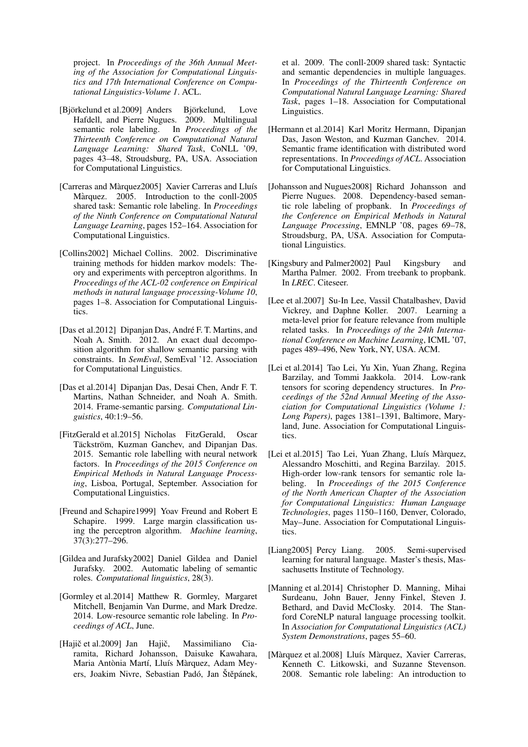project. In *Proceedings of the 36th Annual Meeting of the Association for Computational Linguistics and 17th International Conference on Computational Linguistics-Volume 1*. ACL.

- <span id="page-8-14"></span>[Björkelund et al.2009] Anders Björkelund, Love Hafdell, and Pierre Nugues. 2009. Multilingual semantic role labeling. In *Proceedings of the Thirteenth Conference on Computational Natural Language Learning: Shared Task*, CoNLL '09, pages 43–48, Stroudsburg, PA, USA. Association for Computational Linguistics.
- <span id="page-8-6"></span>[Carreras and Màrquez2005] Xavier Carreras and Lluís Màrquez. 2005. Introduction to the conll-2005 shared task: Semantic role labeling. In *Proceedings of the Ninth Conference on Computational Natural Language Learning*, pages 152–164. Association for Computational Linguistics.
- <span id="page-8-11"></span>[Collins2002] Michael Collins. 2002. Discriminative training methods for hidden markov models: Theory and experiments with perceptron algorithms. In *Proceedings of the ACL-02 conference on Empirical methods in natural language processing-Volume 10*, pages 1–8. Association for Computational Linguistics.
- <span id="page-8-12"></span>[Das et al.2012] Dipanjan Das, André F. T. Martins, and Noah A. Smith. 2012. An exact dual decomposition algorithm for shallow semantic parsing with constraints. In *SemEval*, SemEval '12. Association for Computational Linguistics.
- <span id="page-8-3"></span>[Das et al.2014] Dipanjan Das, Desai Chen, Andr F. T. Martins, Nathan Schneider, and Noah A. Smith. 2014. Frame-semantic parsing. *Computational Linguistics*, 40:1:9–56.
- <span id="page-8-13"></span>[FitzGerald et al.2015] Nicholas FitzGerald, Oscar Täckström, Kuzman Ganchev, and Dipanjan Das. 2015. Semantic role labelling with neural network factors. In *Proceedings of the 2015 Conference on Empirical Methods in Natural Language Processing*, Lisboa, Portugal, September. Association for Computational Linguistics.
- <span id="page-8-10"></span>[Freund and Schapire1999] Yoav Freund and Robert E Schapire. 1999. Large margin classification using the perceptron algorithm. *Machine learning*, 37(3):277–296.
- <span id="page-8-0"></span>[Gildea and Jurafsky2002] Daniel Gildea and Daniel Jurafsky. 2002. Automatic labeling of semantic roles. *Computational linguistics*, 28(3).
- <span id="page-8-15"></span>[Gormley et al.2014] Matthew R. Gormley, Margaret Mitchell, Benjamin Van Durme, and Mark Dredze. 2014. Low-resource semantic role labeling. In *Proceedings of ACL*, June.
- <span id="page-8-5"></span>[Hajič et al.2009] Jan Hajič, Massimiliano Ciaramita, Richard Johansson, Daisuke Kawahara, Maria Antònia Martí, Lluís Màrquez, Adam Meyers, Joakim Nivre, Sebastian Padó, Jan Štěpánek,

et al. 2009. The conll-2009 shared task: Syntactic and semantic dependencies in multiple languages. In *Proceedings of the Thirteenth Conference on Computational Natural Language Learning: Shared Task*, pages 1–18. Association for Computational Linguistics.

- <span id="page-8-8"></span>[Hermann et al.2014] Karl Moritz Hermann, Dipanjan Das, Jason Weston, and Kuzman Ganchev. 2014. Semantic frame identification with distributed word representations. In *Proceedings of ACL*. Association for Computational Linguistics.
- <span id="page-8-1"></span>[Johansson and Nugues2008] Richard Johansson and Pierre Nugues. 2008. Dependency-based semantic role labeling of propbank. In *Proceedings of the Conference on Empirical Methods in Natural Language Processing*, EMNLP '08, pages 69–78, Stroudsburg, PA, USA. Association for Computational Linguistics.
- <span id="page-8-7"></span>[Kingsbury and Palmer2002] Paul Kingsbury and Martha Palmer. 2002. From treebank to propbank. In *LREC*. Citeseer.
- <span id="page-8-16"></span>[Lee et al.2007] Su-In Lee, Vassil Chatalbashev, David Vickrey, and Daphne Koller. 2007. Learning a meta-level prior for feature relevance from multiple related tasks. In *Proceedings of the 24th International Conference on Machine Learning*, ICML '07, pages 489–496, New York, NY, USA. ACM.
- <span id="page-8-17"></span>[Lei et al.2014] Tao Lei, Yu Xin, Yuan Zhang, Regina Barzilay, and Tommi Jaakkola. 2014. Low-rank tensors for scoring dependency structures. In *Proceedings of the 52nd Annual Meeting of the Association for Computational Linguistics (Volume 1: Long Papers)*, pages 1381–1391, Baltimore, Maryland, June. Association for Computational Linguistics.
- <span id="page-8-18"></span>[Lei et al.2015] Tao Lei, Yuan Zhang, Lluís Màrquez, Alessandro Moschitti, and Regina Barzilay. 2015. High-order low-rank tensors for semantic role labeling. In *Proceedings of the 2015 Conference of the North American Chapter of the Association for Computational Linguistics: Human Language Technologies*, pages 1150–1160, Denver, Colorado, May–June. Association for Computational Linguistics.
- <span id="page-8-4"></span>[Liang2005] Percy Liang. 2005. Semi-supervised learning for natural language. Master's thesis, Massachusetts Institute of Technology.
- <span id="page-8-9"></span>[Manning et al.2014] Christopher D. Manning, Mihai Surdeanu, John Bauer, Jenny Finkel, Steven J. Bethard, and David McClosky. 2014. The Stanford CoreNLP natural language processing toolkit. In *Association for Computational Linguistics (ACL) System Demonstrations*, pages 55–60.
- <span id="page-8-2"></span>[Màrquez et al.2008] Lluís Màrquez, Xavier Carreras, Kenneth C. Litkowski, and Suzanne Stevenson. 2008. Semantic role labeling: An introduction to